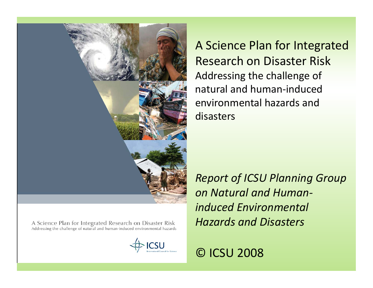

A Science Plan for Integrated Research on Disaster Risk Addressing the challenge of natural and human‐induced environmental hazards anddisasters

A Science Plan for Integrated Research on Disaster Risk Addressing the challenge of natural and human-induced environmental hazards



*Report of ICSU Planning Group on Natural and Human‐ induced Environmental Hazards and Disasters*

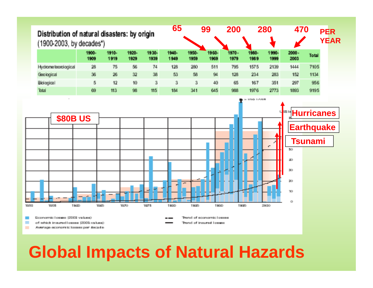

### **Global Impacts of Natural Hazards**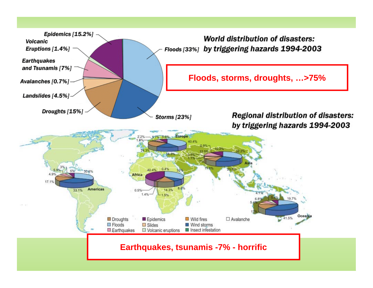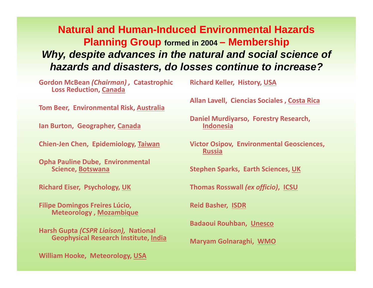**Natural and Human-Induced Environmental HazardsPlanning Group formed in 2004 – Membership** *Why, despite advances in the natural and social science of hazards and disasters, do losses continue to increase?*

**Gordon McBean** *(Chairman) ,* **Catastrophic Loss Reduction, Canada**

**Tom Beer, Environmental Risk, Australia**

**Ian Burton, Geographer, Canada**

**Chien‐Jen Chen, Epidemiology, Taiwan**

**Opha Pauline Dube, Environmental Science, Botswana**

**Richard Eiser, Psychology, UK**

**Filipe Domingos Freires Lúcio, Meteorology , Mozambique**

**Harsh Gupta** *(CSPR Liaison),* **National Geophysical Research Institute, India**

**William Hooke, Meteorology, USA**

**Richard Keller, History, USA**

**Allan Lavell, Ciencias Sociales , Costa Rica**

**Daniel Murdiyarso, Forestry Research, Indonesia**

**Victor Osipov, Environmental Geosciences, Russia**

**Stephen Sparks, Earth Sciences, UK**

**Thomas Rosswall** *(ex officio)***, ICSU**

**Reid Basher, ISDR**

**Badaoui Rouhban, Unesco**

**Maryam Golnaraghi, WMO**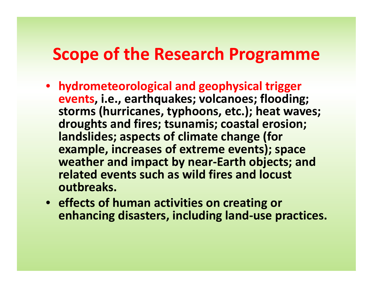### **Scope of the Research Programme**

- **hydrometeorological and geophysical trigger events, i.e., earthquakes; volcanoes; flooding; storms (hurricanes, typhoons, etc.); heat waves; droughts and fires; tsunamis; coastal erosion; landslides; aspects of climate change (for example, increases of extreme events); space weather and impact by near‐Earth objects; and related events such as wild fires and locust outbreaks.**
- **effects of human activities on creating or enhancing disasters, including land‐use practices.**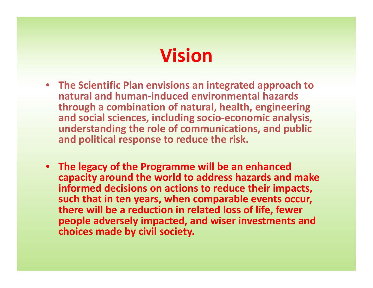# **Vision**

- **The Scientific Plan envisions an integrated approach to natural and human‐induced environmental hazards through <sup>a</sup> combination of natural, health, engineering and social sciences, including socio‐economic analysis, understanding the role of communications, and public and political response to reduce the risk.**
- **The legacy of the Programme will be an enhanced capacity around the world to address hazards and make informed decisions on actions to reduce their impacts, such that in ten years, when comparable events occur, there will be <sup>a</sup> reduction in related loss of life, fewer people adversely impacted, and wiser investments and choices made by civil society.**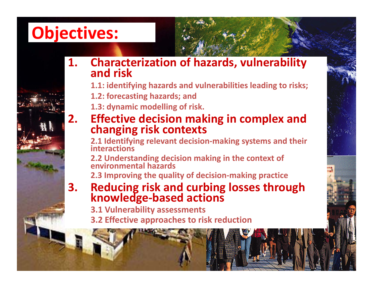## **Objectives:**

**2.**

- **1. Characterization of hazards, vulnerability and**and risk
	- **1.1: identifying hazards and vulnerabilities leading to risks;**
	- **1.2: forecasting hazards; and**
	- **1.3: dynamic modelling of risk.**
	- **Effective decision making in complex and changing risk contexts**

**2.1 Identifying relevant decision‐making systems and their interactions**

**2.2 Understanding decision making in the context of environmental hazards**

**2.3 Improving the quality of decision‐making practice**

- **3. Reducing risk and curbing losses through knowledge‐based actions**
	- **3.1 Vulnerability assessments**
	- **3.2 Effective approaches to risk reduction**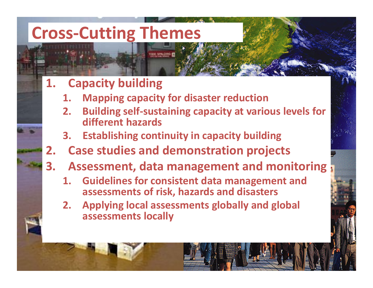## **Cross‐Cutting Themes**

#### **1.Capacity building**

- **1.Mapping capacity for disaster reduction**
- **2. Building self‐sustaining capacity at various levels for different hazards**
- **3.Establishing continuity in capacity building**
- **2.Case studies and demonstration projects**
- **3. Assessment, data management and monitoring**
	- **1. Guidelines for consistent data management and assessments of risk, hazards and disasters**
	- **2. Applying local assessments globally and global assessments locally**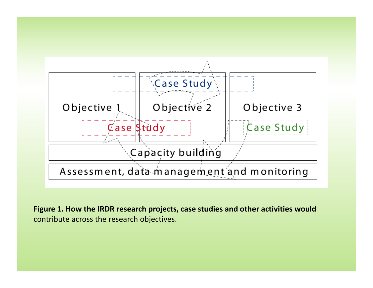

**Figure 1. How the IRDR research projects, case studies and other activities would** contribute across the research objectives.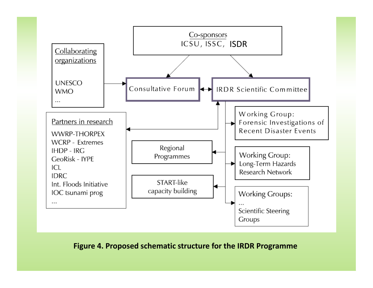

#### **Figure 4. Proposed schematic structure for the IRDR Programme**